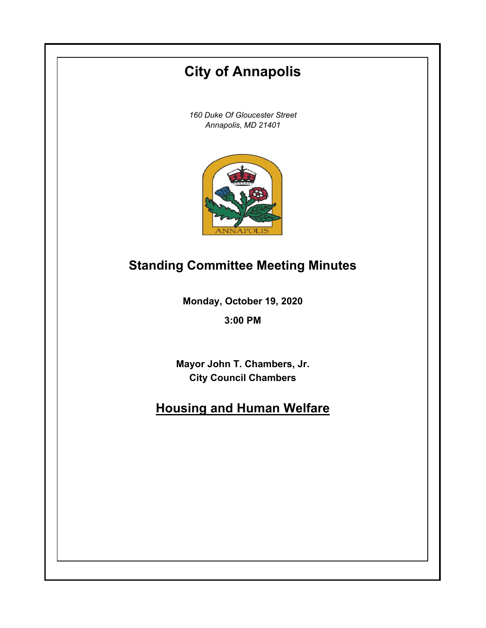# **City of Annapolis**

*160 Duke Of Gloucester Street Annapolis, MD 21401*



## **Standing Committee Meeting Minutes**

**Monday, October 19, 2020**

**3:00 PM**

**Mayor John T. Chambers, Jr. City Council Chambers**

# **Housing and Human Welfare**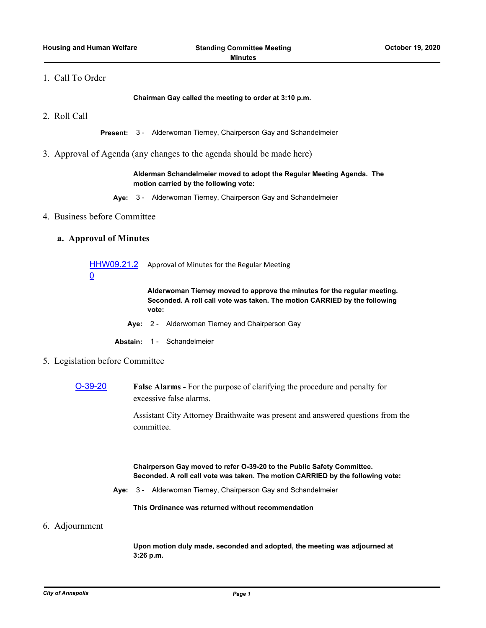### 1. Call To Order

**Chairman Gay called the meeting to order at 3:10 p.m.**

2. Roll Call

**Present:** 3 - Alderwoman Tierney, Chairperson Gay and Schandelmeier

3. Approval of Agenda (any changes to the agenda should be made here)

#### **Alderman Schandelmeier moved to adopt the Regular Meeting Agenda. The motion carried by the following vote:**

- **Aye:** 3 Alderwoman Tierney, Chairperson Gay and Schandelmeier
- 4. Business before Committee

### **a. Approval of Minutes**

[HHW09.21.2](http://annapolismd.legistar.com/gateway.aspx?m=l&id=/matter.aspx?key=4999) Approval of Minutes for the Regular Meeting 0

> **Alderwoman Tierney moved to approve the minutes for the regular meeting. Seconded. A roll call vote was taken. The motion CARRIED by the following vote:**

**Aye:** 2 - Alderwoman Tierney and Chairperson Gay

**Abstain:** 1 - Schandelmeier

- 5. Legislation before Committee
	- [O-39-20](http://annapolismd.legistar.com/gateway.aspx?m=l&id=/matter.aspx?key=4908) **False Alarms** For the purpose of clarifying the procedure and penalty for excessive false alarms.

Assistant City Attorney Braithwaite was present and answered questions from the committee.

**Chairperson Gay moved to refer O-39-20 to the Public Safety Committee. Seconded. A roll call vote was taken. The motion CARRIED by the following vote:**

**Aye:** 3 - Alderwoman Tierney, Chairperson Gay and Schandelmeier

**This Ordinance was returned without recommendation**

6. Adjournment

**Upon motion duly made, seconded and adopted, the meeting was adjourned at 3:26 p.m.**